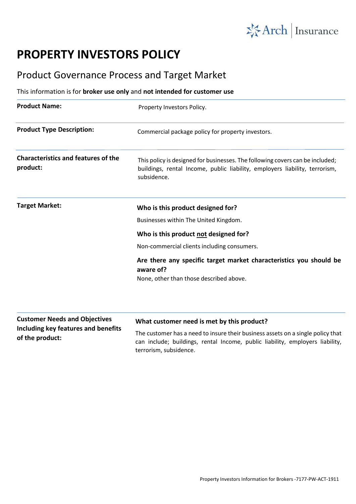

## **PROPERTY INVESTORS POLICY**

## Product Governance Process and Target Market

## This information is for **broker use only** and **not intended for customer use**

| <b>Product Name:</b>                                                        | Property Investors Policy.                                                                                                                                                  |
|-----------------------------------------------------------------------------|-----------------------------------------------------------------------------------------------------------------------------------------------------------------------------|
| <b>Product Type Description:</b>                                            | Commercial package policy for property investors.                                                                                                                           |
| <b>Characteristics and features of the</b><br>product:                      | This policy is designed for businesses. The following covers can be included;<br>buildings, rental Income, public liability, employers liability, terrorism,<br>subsidence. |
| <b>Target Market:</b>                                                       | Who is this product designed for?                                                                                                                                           |
|                                                                             | Businesses within The United Kingdom.                                                                                                                                       |
|                                                                             | Who is this product not designed for?                                                                                                                                       |
|                                                                             | Non-commercial clients including consumers.                                                                                                                                 |
|                                                                             | Are there any specific target market characteristics you should be<br>aware of?                                                                                             |
|                                                                             | None, other than those described above.                                                                                                                                     |
| <b>Customer Needs and Objectives</b><br>Including key features and benefits | What customer need is met by this product?                                                                                                                                  |
|                                                                             | The existence has a mead to incurre their husiness assets an a single malies that                                                                                           |

**of the product:**

The customer has a need to insure their business assets on a single policy that can include; buildings, rental Income, public liability, employers liability, terrorism, subsidence.